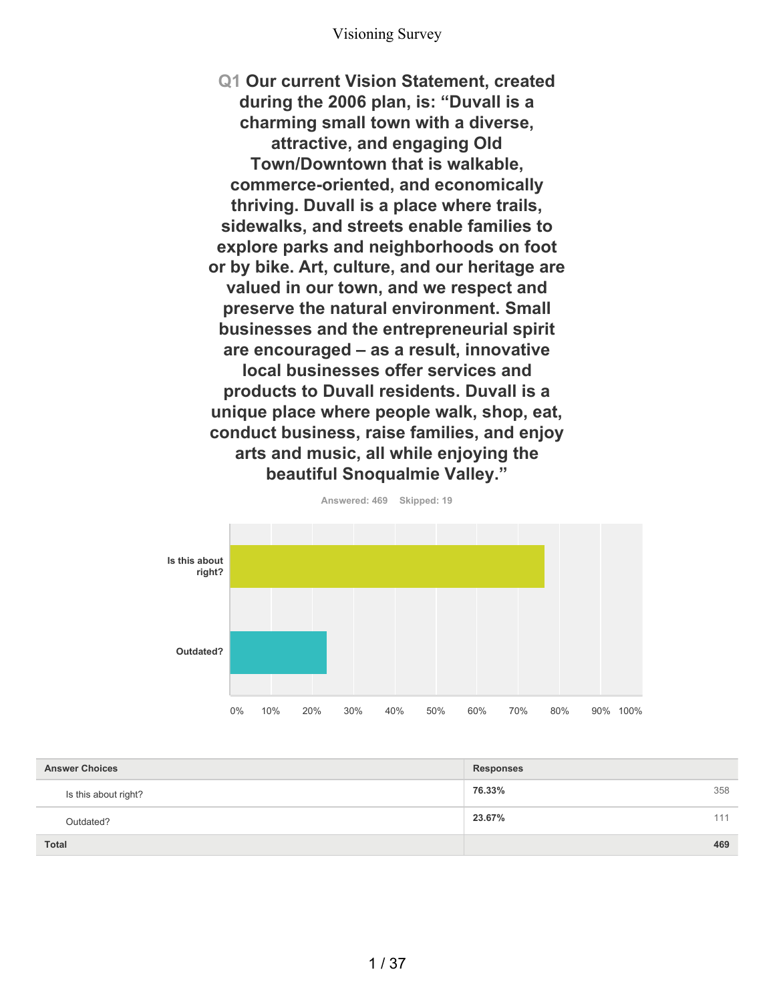**Q1 Our current Vision Statement, created during the 2006 plan, is: "Duvall is a charming small town with a diverse, attractive, and engaging Old Town/Downtown that is walkable, commerce-oriented, and economically thriving. Duvall is a place where trails, sidewalks, and streets enable families to explore parks and neighborhoods on foot or by bike. Art, culture, and our heritage are valued in our town, and we respect and preserve the natural environment. Small businesses and the entrepreneurial spirit are encouraged – as a result, innovative local businesses offer services and products to Duvall residents. Duvall is a unique place where people walk, shop, eat, conduct business, raise families, and enjoy arts and music, all while enjoying the beautiful Snoqualmie Valley."**



**Answered: 469 Skipped: 19**

| <b>Answer Choices</b> | <b>Responses</b> |
|-----------------------|------------------|
| Is this about right?  | 76.33%<br>358    |
| Outdated?             | 23.67%<br>111    |
| <b>Total</b>          | 469              |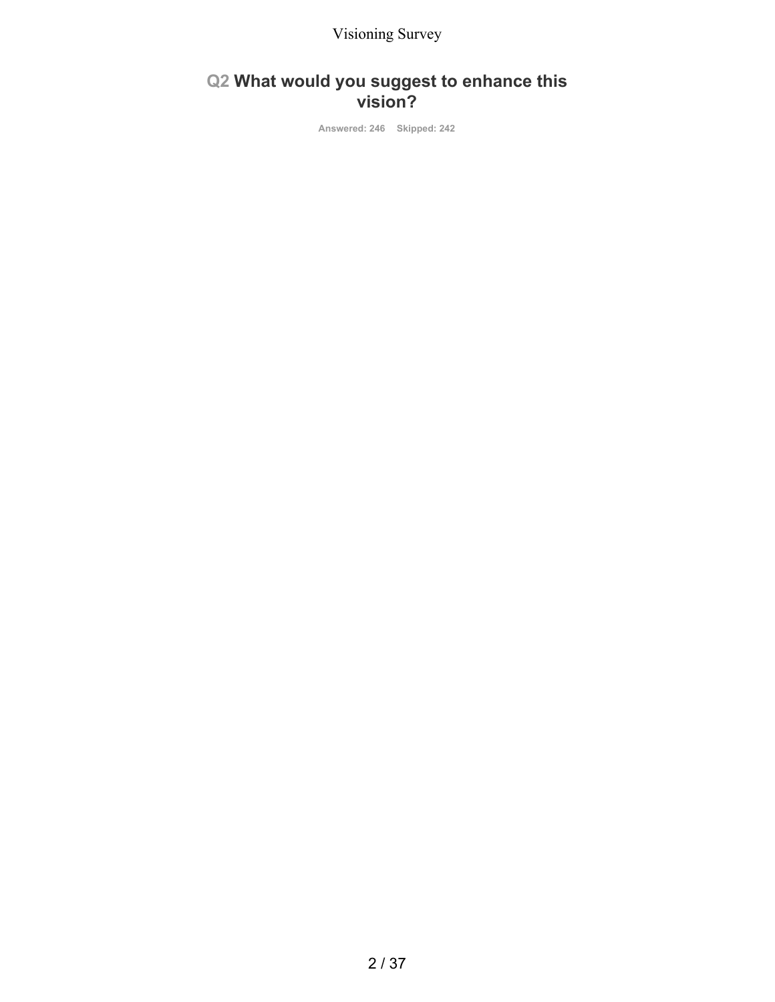## **Q2 What would you suggest to enhance this vision?**

**Answered: 246 Skipped: 242**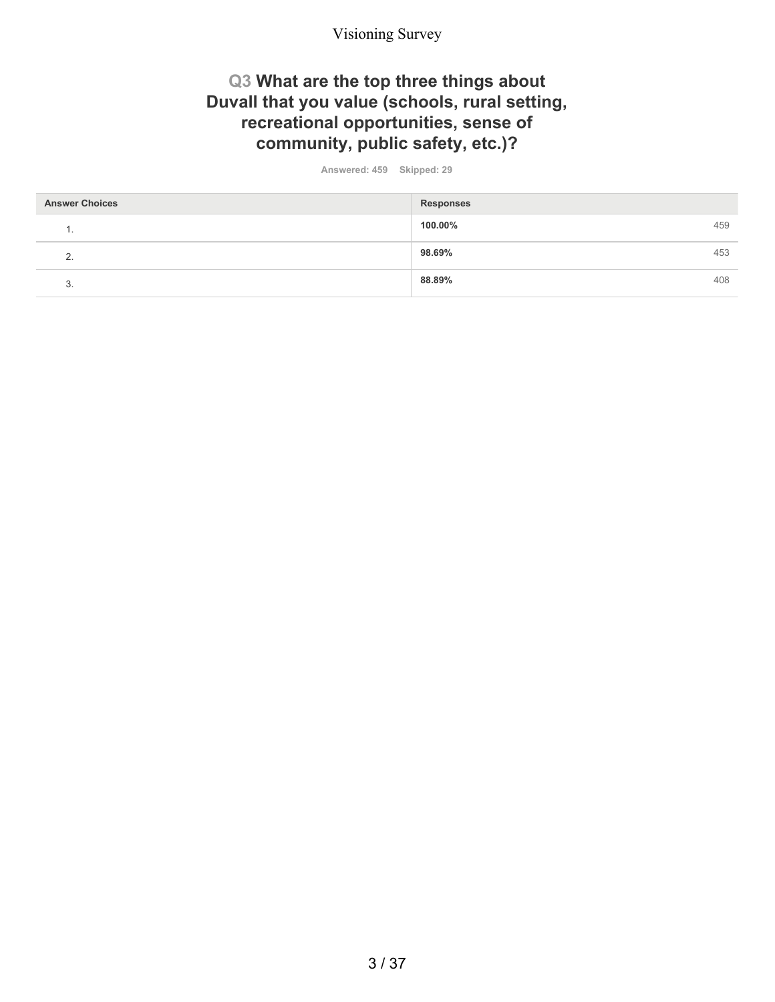### **Q3 What are the top three things about Duvall that you value (schools, rural setting, recreational opportunities, sense of community, public safety, etc.)?**

**Answered: 459 Skipped: 29**

| <b>Answer Choices</b> | <b>Responses</b> |     |
|-----------------------|------------------|-----|
| . .                   | 100.00%          | 459 |
| <u>.</u>              | 98.69%           | 453 |
| ົ<br>J.               | 88.89%           | 408 |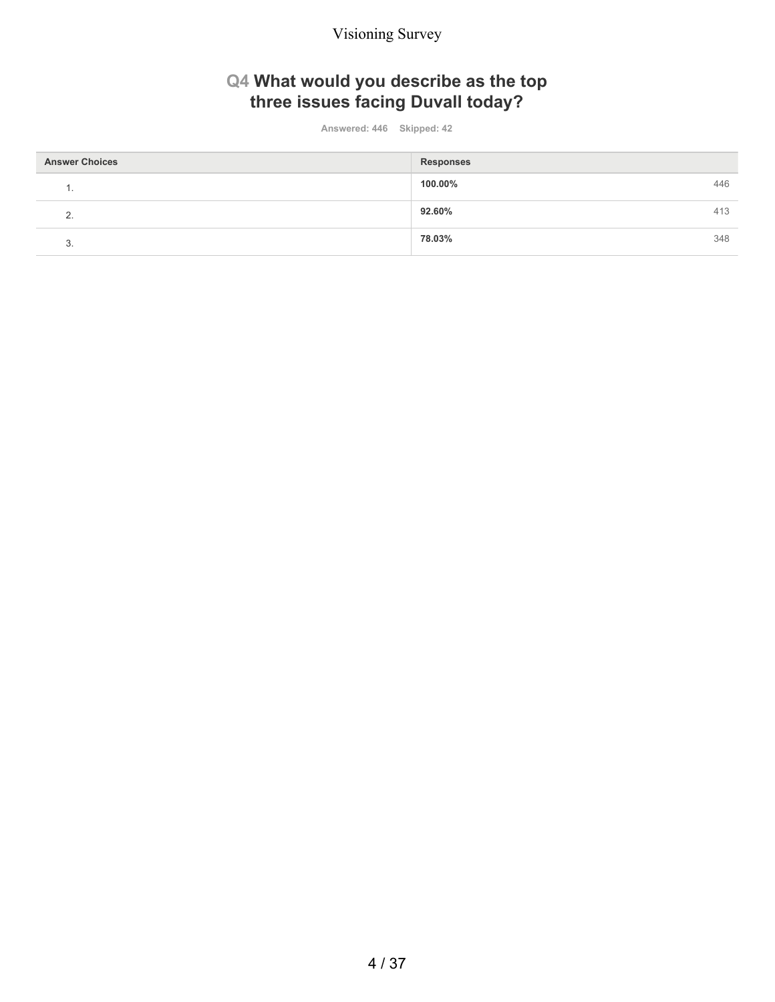# **Q4 What would you describe as the top three issues facing Duvall today?**

**Answered: 446 Skipped: 42**

| <b>Answer Choices</b> | <b>Responses</b> |     |
|-----------------------|------------------|-----|
| . .                   | 100.00%          | 446 |
| ◠                     | 92.60%           | 413 |
| ◠<br>v.               | 78.03%           | 348 |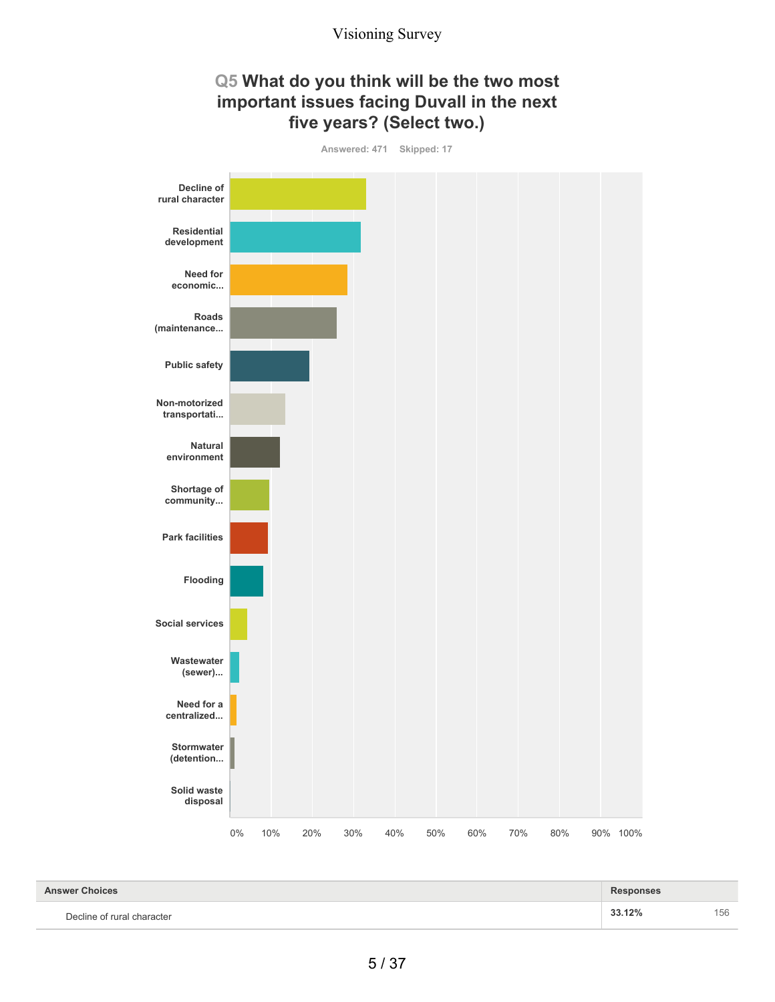### **Q5 What do you think will be the two most important issues facing Duvall in the next five years? (Select two.)**



| <b>Answer Choices</b>      | <b>Responses</b> |     |
|----------------------------|------------------|-----|
| Decline of rural character | 33.12%           | 156 |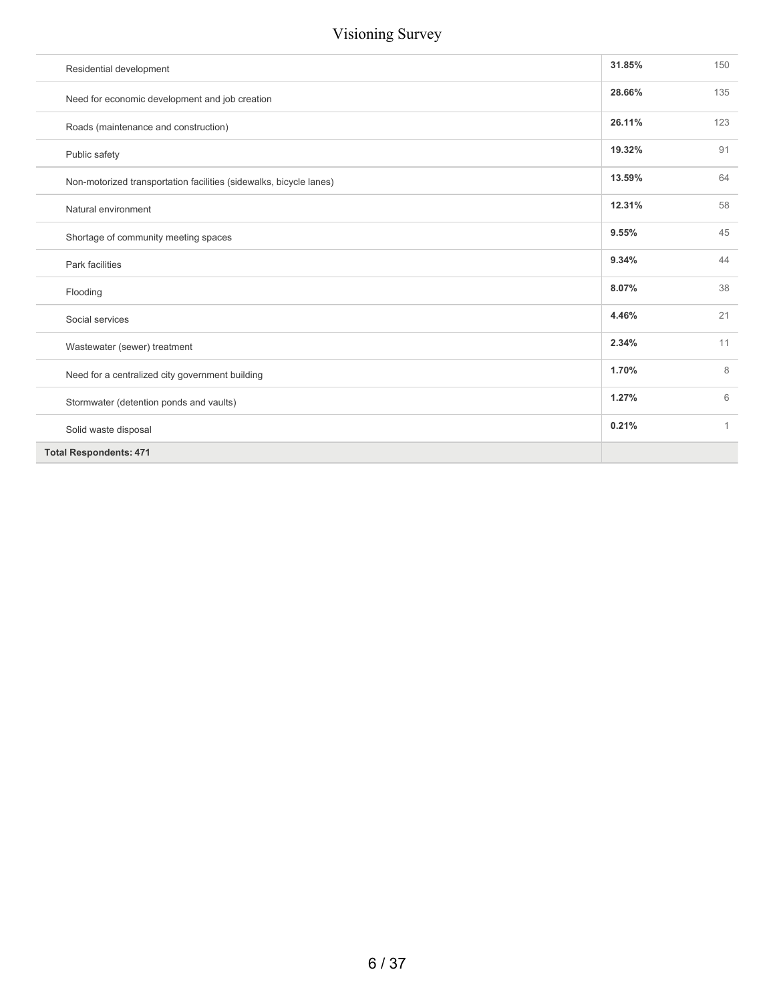| Residential development                                            | 31.85% | 150          |
|--------------------------------------------------------------------|--------|--------------|
| Need for economic development and job creation                     | 28.66% | 135          |
| Roads (maintenance and construction)                               | 26.11% | 123          |
| Public safety                                                      | 19.32% | 91           |
| Non-motorized transportation facilities (sidewalks, bicycle lanes) | 13.59% | 64           |
| Natural environment                                                | 12.31% | 58           |
| Shortage of community meeting spaces                               | 9.55%  | 45           |
| Park facilities                                                    | 9.34%  | 44           |
| Flooding                                                           | 8.07%  | 38           |
| Social services                                                    | 4.46%  | 21           |
| Wastewater (sewer) treatment                                       | 2.34%  | 11           |
| Need for a centralized city government building                    | 1.70%  | 8            |
| Stormwater (detention ponds and vaults)                            | 1.27%  | 6            |
| Solid waste disposal                                               | 0.21%  | $\mathbf{1}$ |
| <b>Total Respondents: 471</b>                                      |        |              |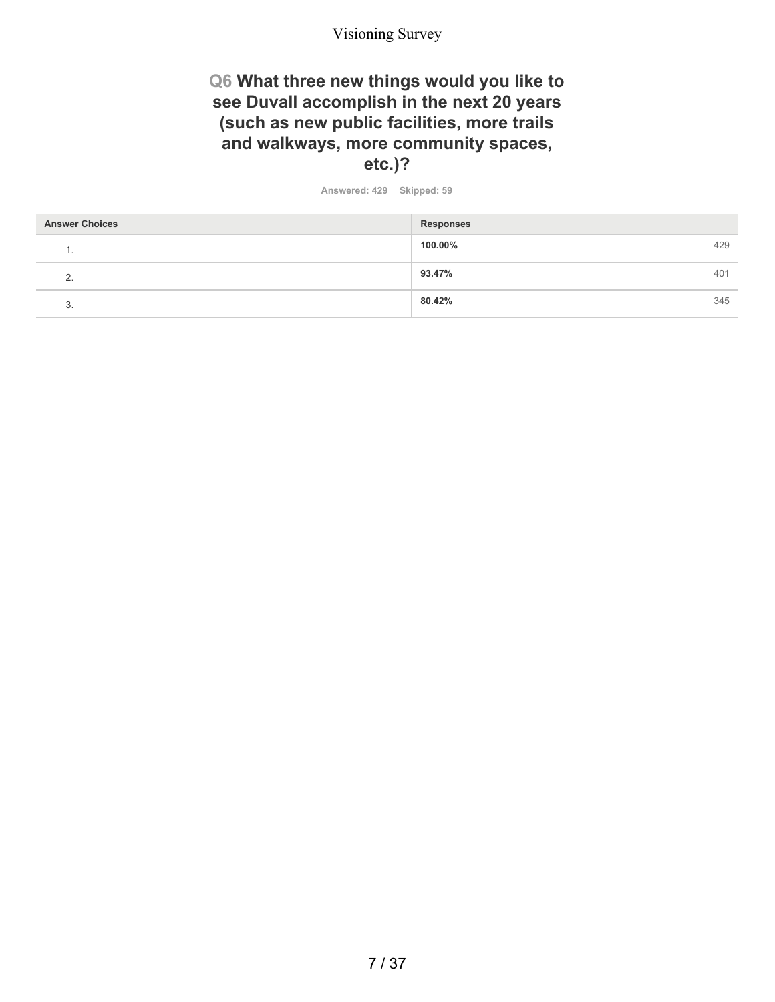### **Q6 What three new things would you like to see Duvall accomplish in the next 20 years (such as new public facilities, more trails and walkways, more community spaces, etc.)?**

**Answered: 429 Skipped: 59**

| <b>Answer Choices</b> | <b>Responses</b> |     |
|-----------------------|------------------|-----|
| . .                   | 100.00%          | 429 |
| ◠<br><u>.</u>         | 93.47%           | 401 |
| J.                    | 80.42%           | 345 |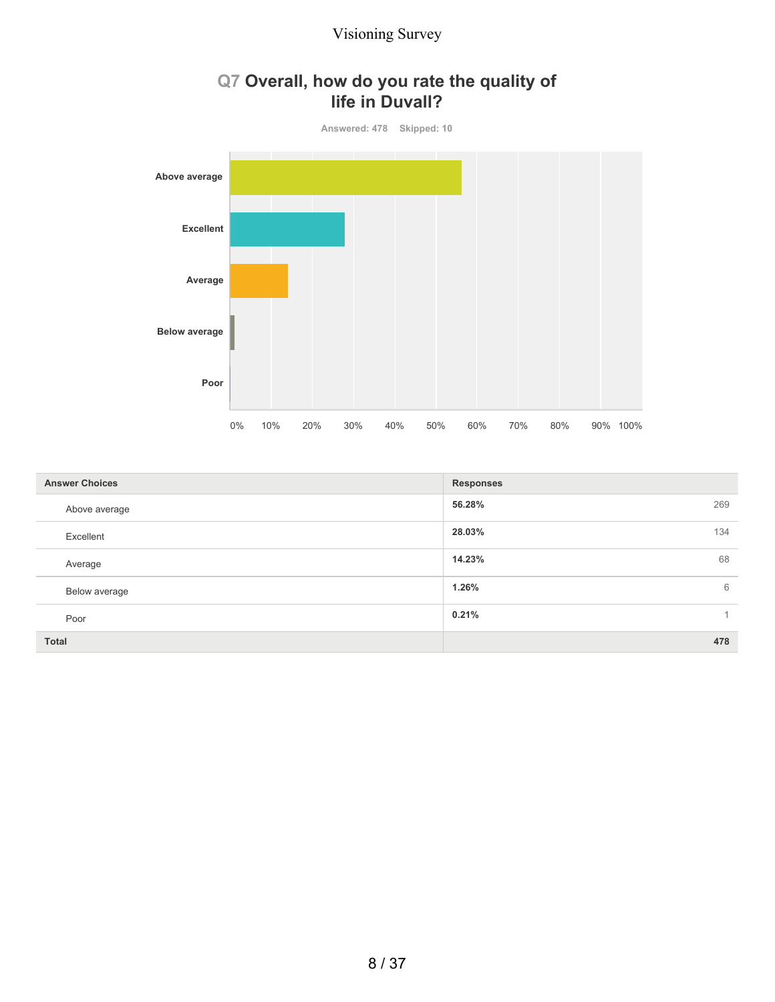

## **Q7 Overall, how do you rate the quality of life in Duvall?**

| <b>Answer Choices</b> | <b>Responses</b> |
|-----------------------|------------------|
| Above average         | 56.28%<br>269    |
| Excellent             | 28.03%<br>134    |
| Average               | 14.23%<br>68     |
| Below average         | 1.26%<br>6       |
| Poor                  | 0.21%            |
| <b>Total</b>          | 478              |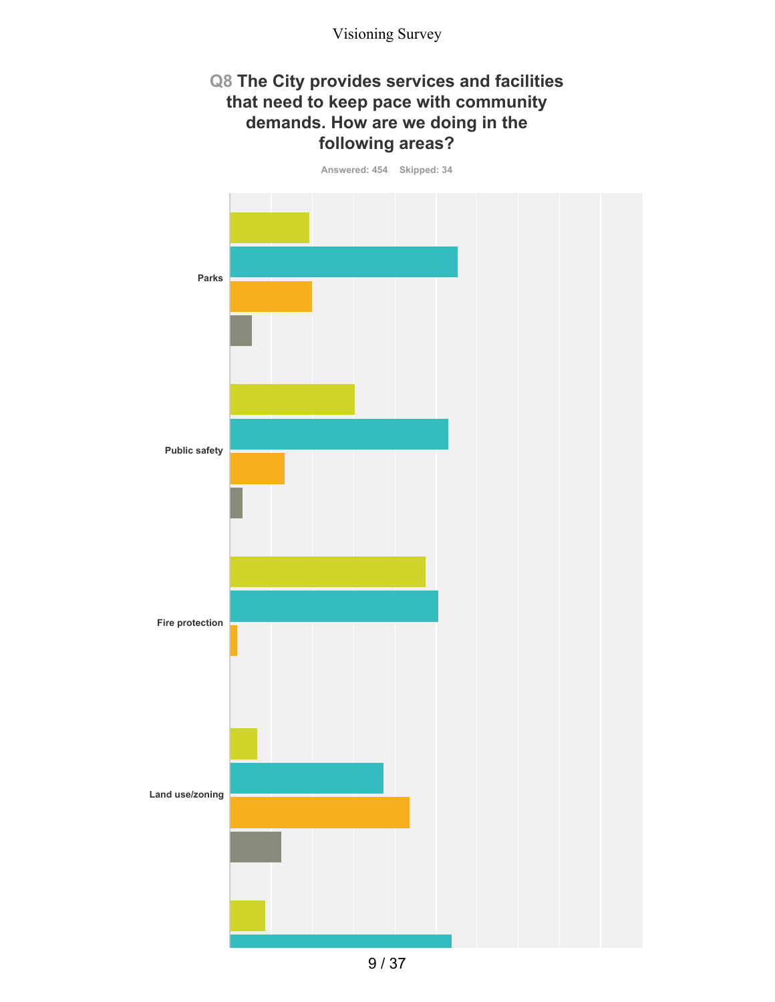### **Q8 The City provides services and facilities that need to keep pace with community demands. How are we doing in the following areas?**

**Answered: 454 Skipped: 34**



9 / 37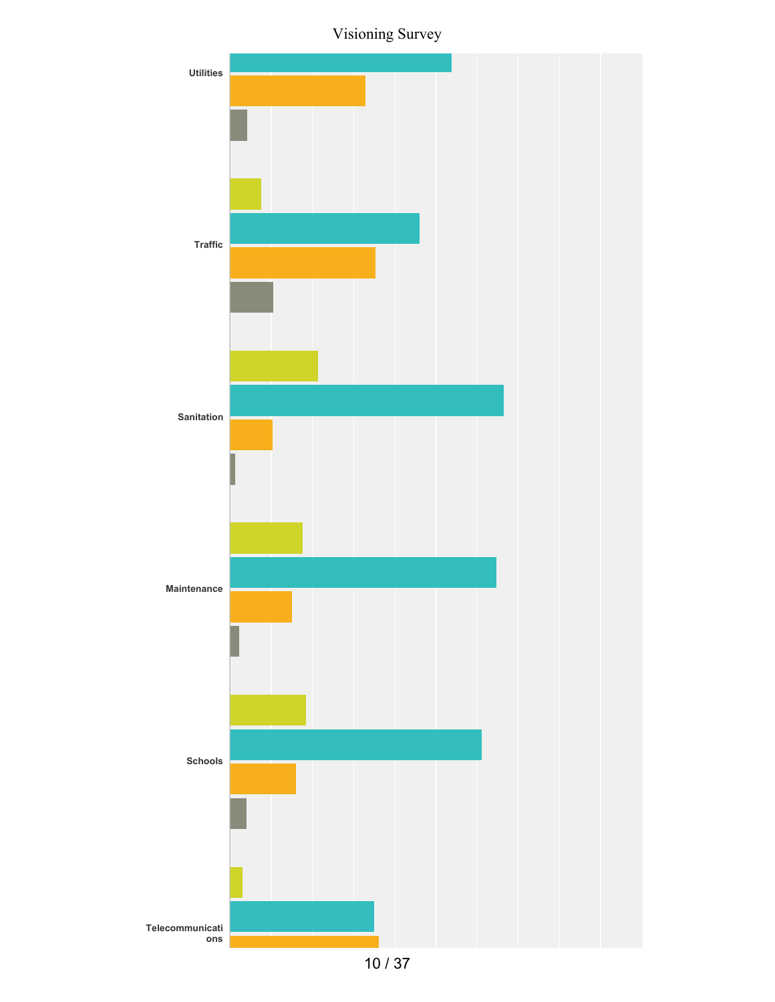Visioning Survey



10 / 37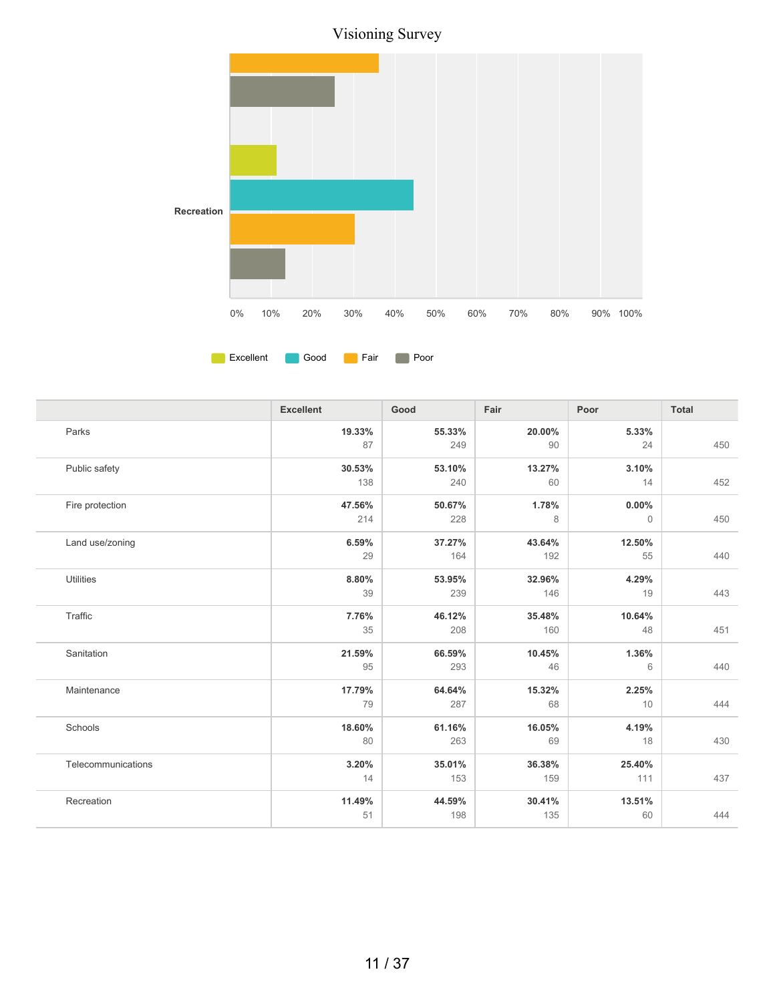

| Parks<br>19.33%<br>55.33%<br>20.00%<br>5.33%<br>87<br>24<br>450<br>249<br>90<br>30.53%<br>Public safety<br>53.10%<br>13.27%<br>3.10%<br>452<br>138<br>240<br>60<br>14<br>47.56%<br>50.67%<br>1.78%<br>$0.00\%$<br>Fire protection<br>214<br>8<br>450<br>228<br>$\mathbf{0}$<br>6.59%<br>37.27%<br>Land use/zoning<br>43.64%<br>12.50%<br>29<br>164<br>192<br>55<br>440<br><b>Utilities</b><br>4.29%<br>8.80%<br>53.95%<br>32.96%<br>39<br>443<br>239<br>146<br>19<br>Traffic<br>7.76%<br>46.12%<br>35.48%<br>10.64%<br>35<br>208<br>48<br>451<br>160<br>21.59%<br>Sanitation<br>66.59%<br>10.45%<br>1.36%<br>46<br>440<br>95<br>293<br>6<br>17.79%<br>64.64%<br>15.32%<br>2.25%<br>Maintenance<br>79<br>287<br>68<br>444<br>10<br>Schools<br>18.60%<br>61.16%<br>16.05%<br>4.19%<br>430<br>80<br>263<br>69<br>18<br>Telecommunications<br>3.20%<br>35.01%<br>36.38%<br>25.40%<br>437<br>14<br>111<br>153<br>159<br>11.49%<br>Recreation<br>44.59%<br>30.41%<br>13.51%<br>444<br>51<br>198<br>135<br>60 | <b>Excellent</b> | Good | Fair | Poor | <b>Total</b> |
|--------------------------------------------------------------------------------------------------------------------------------------------------------------------------------------------------------------------------------------------------------------------------------------------------------------------------------------------------------------------------------------------------------------------------------------------------------------------------------------------------------------------------------------------------------------------------------------------------------------------------------------------------------------------------------------------------------------------------------------------------------------------------------------------------------------------------------------------------------------------------------------------------------------------------------------------------------------------------------------------------------|------------------|------|------|------|--------------|
|                                                                                                                                                                                                                                                                                                                                                                                                                                                                                                                                                                                                                                                                                                                                                                                                                                                                                                                                                                                                        |                  |      |      |      |              |
|                                                                                                                                                                                                                                                                                                                                                                                                                                                                                                                                                                                                                                                                                                                                                                                                                                                                                                                                                                                                        |                  |      |      |      |              |
|                                                                                                                                                                                                                                                                                                                                                                                                                                                                                                                                                                                                                                                                                                                                                                                                                                                                                                                                                                                                        |                  |      |      |      |              |
|                                                                                                                                                                                                                                                                                                                                                                                                                                                                                                                                                                                                                                                                                                                                                                                                                                                                                                                                                                                                        |                  |      |      |      |              |
|                                                                                                                                                                                                                                                                                                                                                                                                                                                                                                                                                                                                                                                                                                                                                                                                                                                                                                                                                                                                        |                  |      |      |      |              |
|                                                                                                                                                                                                                                                                                                                                                                                                                                                                                                                                                                                                                                                                                                                                                                                                                                                                                                                                                                                                        |                  |      |      |      |              |
|                                                                                                                                                                                                                                                                                                                                                                                                                                                                                                                                                                                                                                                                                                                                                                                                                                                                                                                                                                                                        |                  |      |      |      |              |
|                                                                                                                                                                                                                                                                                                                                                                                                                                                                                                                                                                                                                                                                                                                                                                                                                                                                                                                                                                                                        |                  |      |      |      |              |
|                                                                                                                                                                                                                                                                                                                                                                                                                                                                                                                                                                                                                                                                                                                                                                                                                                                                                                                                                                                                        |                  |      |      |      |              |
|                                                                                                                                                                                                                                                                                                                                                                                                                                                                                                                                                                                                                                                                                                                                                                                                                                                                                                                                                                                                        |                  |      |      |      |              |
|                                                                                                                                                                                                                                                                                                                                                                                                                                                                                                                                                                                                                                                                                                                                                                                                                                                                                                                                                                                                        |                  |      |      |      |              |
|                                                                                                                                                                                                                                                                                                                                                                                                                                                                                                                                                                                                                                                                                                                                                                                                                                                                                                                                                                                                        |                  |      |      |      |              |
|                                                                                                                                                                                                                                                                                                                                                                                                                                                                                                                                                                                                                                                                                                                                                                                                                                                                                                                                                                                                        |                  |      |      |      |              |
|                                                                                                                                                                                                                                                                                                                                                                                                                                                                                                                                                                                                                                                                                                                                                                                                                                                                                                                                                                                                        |                  |      |      |      |              |
|                                                                                                                                                                                                                                                                                                                                                                                                                                                                                                                                                                                                                                                                                                                                                                                                                                                                                                                                                                                                        |                  |      |      |      |              |
|                                                                                                                                                                                                                                                                                                                                                                                                                                                                                                                                                                                                                                                                                                                                                                                                                                                                                                                                                                                                        |                  |      |      |      |              |
|                                                                                                                                                                                                                                                                                                                                                                                                                                                                                                                                                                                                                                                                                                                                                                                                                                                                                                                                                                                                        |                  |      |      |      |              |
|                                                                                                                                                                                                                                                                                                                                                                                                                                                                                                                                                                                                                                                                                                                                                                                                                                                                                                                                                                                                        |                  |      |      |      |              |
|                                                                                                                                                                                                                                                                                                                                                                                                                                                                                                                                                                                                                                                                                                                                                                                                                                                                                                                                                                                                        |                  |      |      |      |              |
|                                                                                                                                                                                                                                                                                                                                                                                                                                                                                                                                                                                                                                                                                                                                                                                                                                                                                                                                                                                                        |                  |      |      |      |              |
|                                                                                                                                                                                                                                                                                                                                                                                                                                                                                                                                                                                                                                                                                                                                                                                                                                                                                                                                                                                                        |                  |      |      |      |              |
|                                                                                                                                                                                                                                                                                                                                                                                                                                                                                                                                                                                                                                                                                                                                                                                                                                                                                                                                                                                                        |                  |      |      |      |              |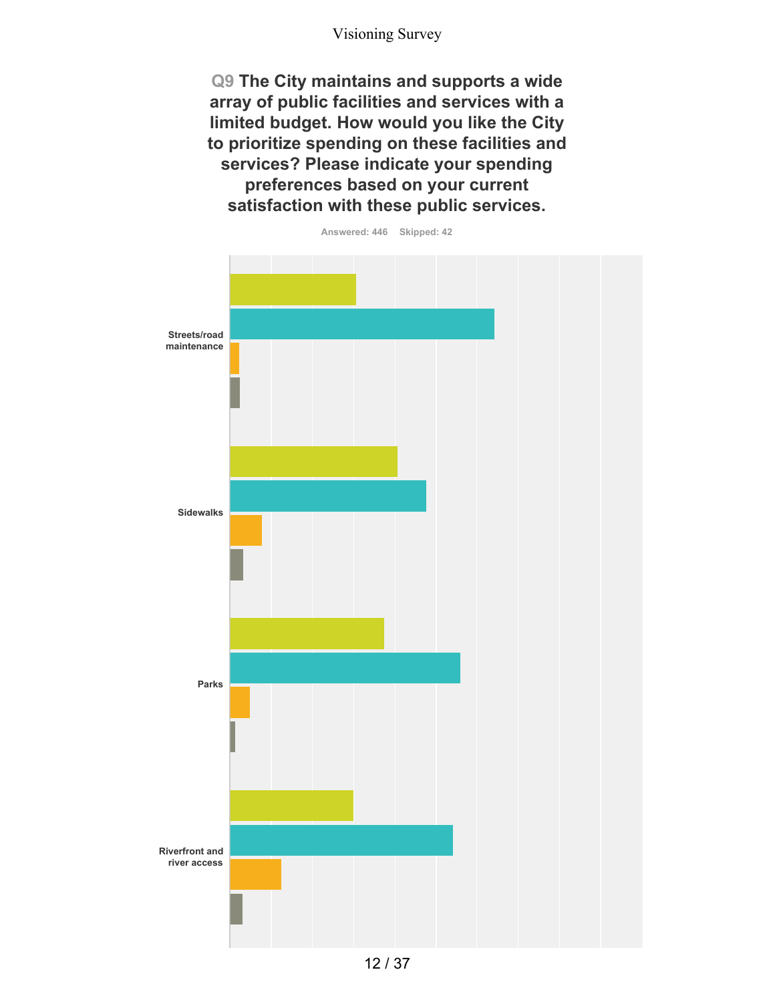**Q9 The City maintains and supports a wide array of public facilities and services with a limited budget. How would you like the City to prioritize spending on these facilities and services? Please indicate your spending preferences based on your current satisfaction with these public services.**

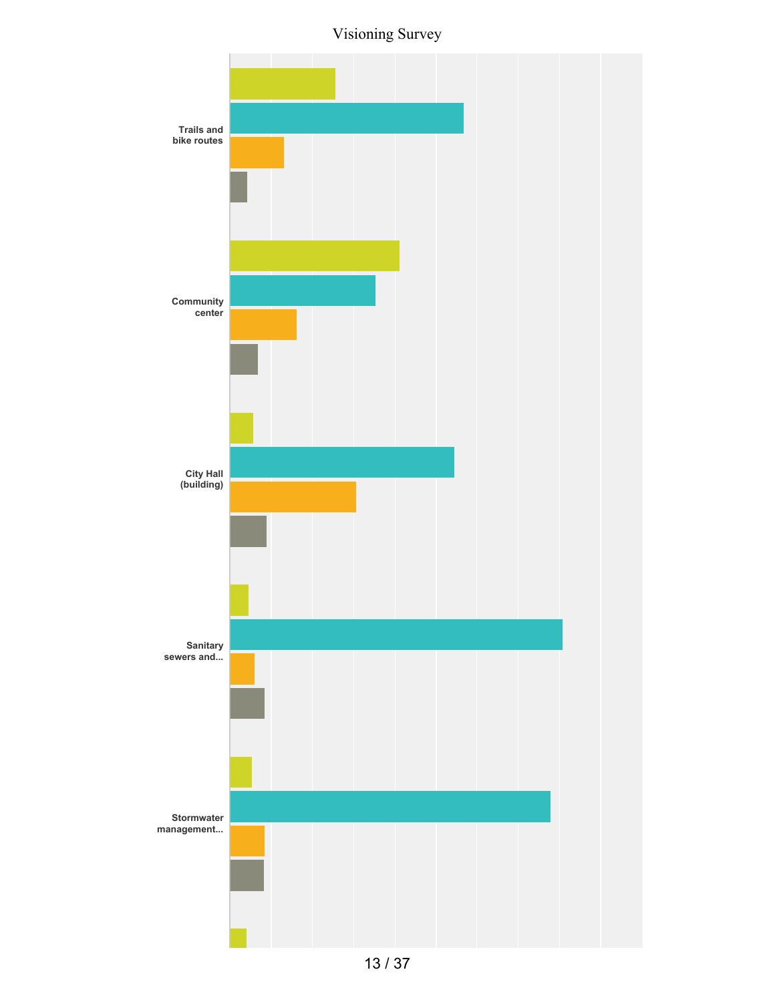Visioning Survey

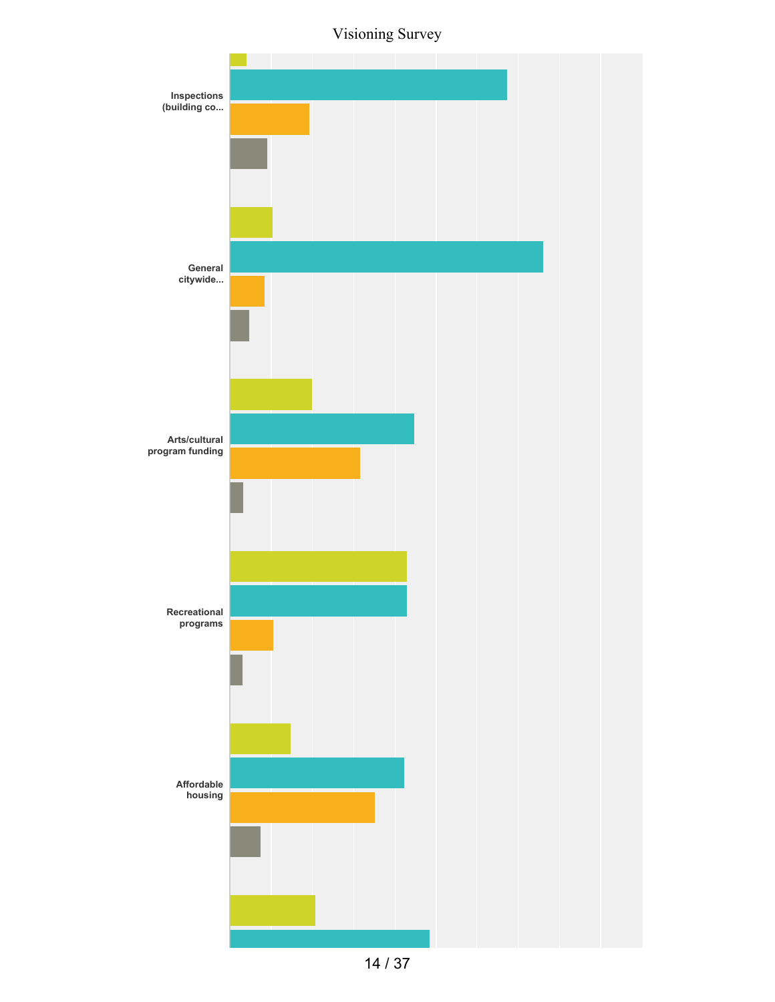Visioning Survey



14 / 37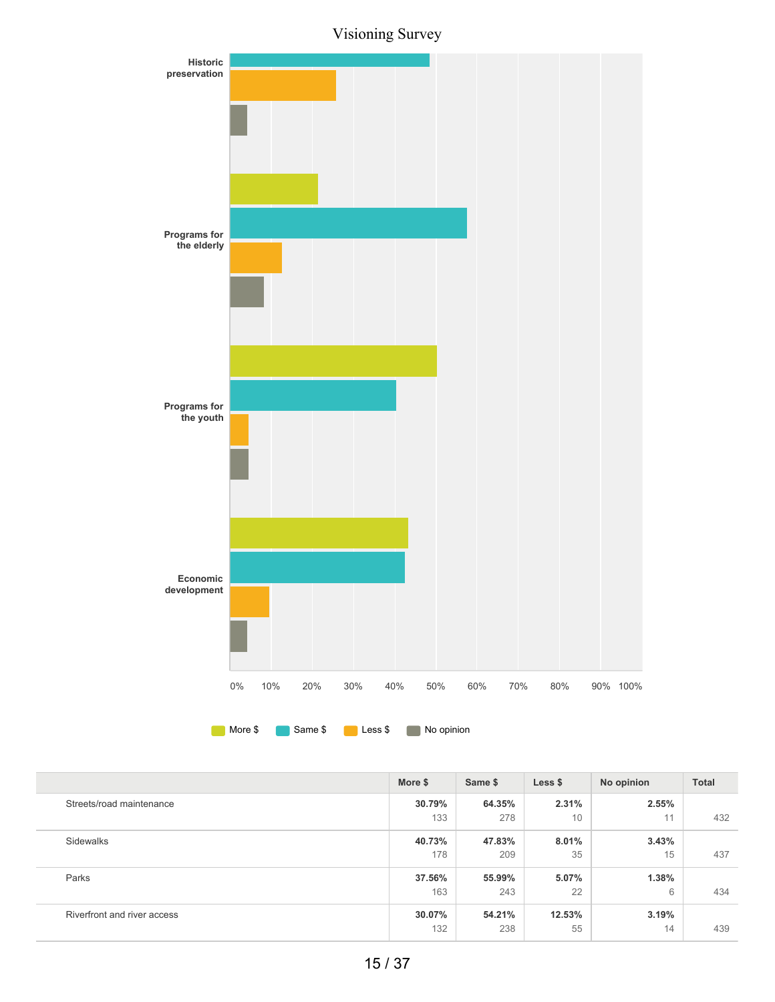Visioning Survey



|                             | More \$ | Same \$ | Less \$ | No opinion | <b>Total</b> |
|-----------------------------|---------|---------|---------|------------|--------------|
| Streets/road maintenance    | 30.79%  | 64.35%  | 2.31%   | 2.55%      |              |
|                             | 133     | 278     | 10      | 11         | 432          |
| Sidewalks                   | 40.73%  | 47.83%  | 8.01%   | 3.43%      |              |
|                             | 178     | 209     | 35      | 15         | 437          |
| Parks                       | 37.56%  | 55.99%  | 5.07%   | 1.38%      |              |
|                             | 163     | 243     | 22      | 6          | 434          |
| Riverfront and river access | 30.07%  | 54.21%  | 12.53%  | 3.19%      |              |
|                             | 132     | 238     | 55      | 14         | 439          |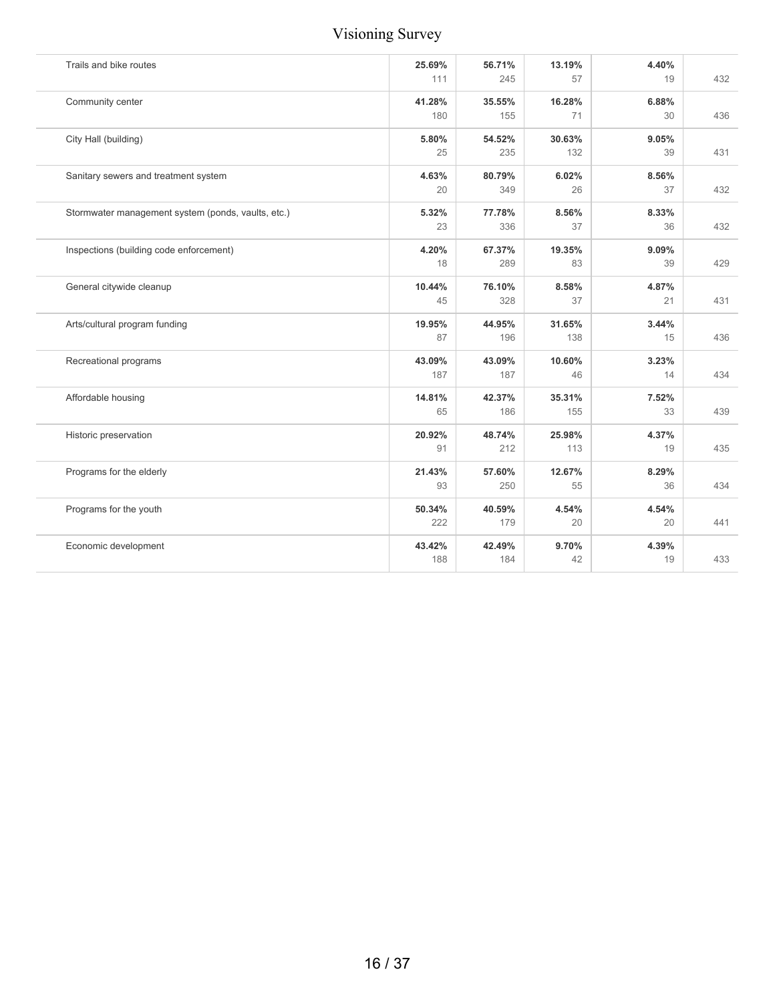| Trails and bike routes                             | 25.69%<br>111 | 56.71%<br>245 | 13.19%<br>57 | 4.40%<br>19 | 432 |
|----------------------------------------------------|---------------|---------------|--------------|-------------|-----|
| Community center                                   | 41.28%        | 35.55%        | 16.28%       | 6.88%       |     |
|                                                    | 180           | 155           | 71           | 30          | 436 |
| City Hall (building)                               | 5.80%         | 54.52%        | 30.63%       | 9.05%       |     |
|                                                    | 25            | 235           | 132          | 39          | 431 |
| Sanitary sewers and treatment system               | 4.63%         | 80.79%        | 6.02%        | 8.56%       |     |
|                                                    | 20            | 349           | 26           | 37          | 432 |
| Stormwater management system (ponds, vaults, etc.) | 5.32%         | 77.78%        | 8.56%        | 8.33%       |     |
|                                                    | 23            | 336           | 37           | 36          | 432 |
| Inspections (building code enforcement)            | 4.20%         | 67.37%        | 19.35%       | 9.09%       |     |
|                                                    | 18            | 289           | 83           | 39          | 429 |
| General citywide cleanup                           | 10.44%        | 76.10%        | 8.58%        | 4.87%       |     |
|                                                    | 45            | 328           | 37           | 21          | 431 |
| Arts/cultural program funding                      | 19.95%        | 44.95%        | 31.65%       | 3.44%       |     |
|                                                    | 87            | 196           | 138          | 15          | 436 |
| Recreational programs                              | 43.09%        | 43.09%        | 10.60%       | 3.23%       |     |
|                                                    | 187           | 187           | 46           | 14          | 434 |
| Affordable housing                                 | 14.81%        | 42.37%        | 35.31%       | 7.52%       |     |
|                                                    | 65            | 186           | 155          | 33          | 439 |
| Historic preservation                              | 20.92%        | 48.74%        | 25.98%       | 4.37%       |     |
|                                                    | 91            | 212           | 113          | 19          | 435 |
| Programs for the elderly                           | 21.43%        | 57.60%        | 12.67%       | 8.29%       |     |
|                                                    | 93            | 250           | 55           | 36          | 434 |
| Programs for the youth                             | 50.34%        | 40.59%        | 4.54%        | 4.54%       |     |
|                                                    | 222           | 179           | 20           | 20          | 441 |
| Economic development                               | 43.42%        | 42.49%        | 9.70%        | 4.39%       |     |
|                                                    | 188           | 184           | 42           | 19          | 433 |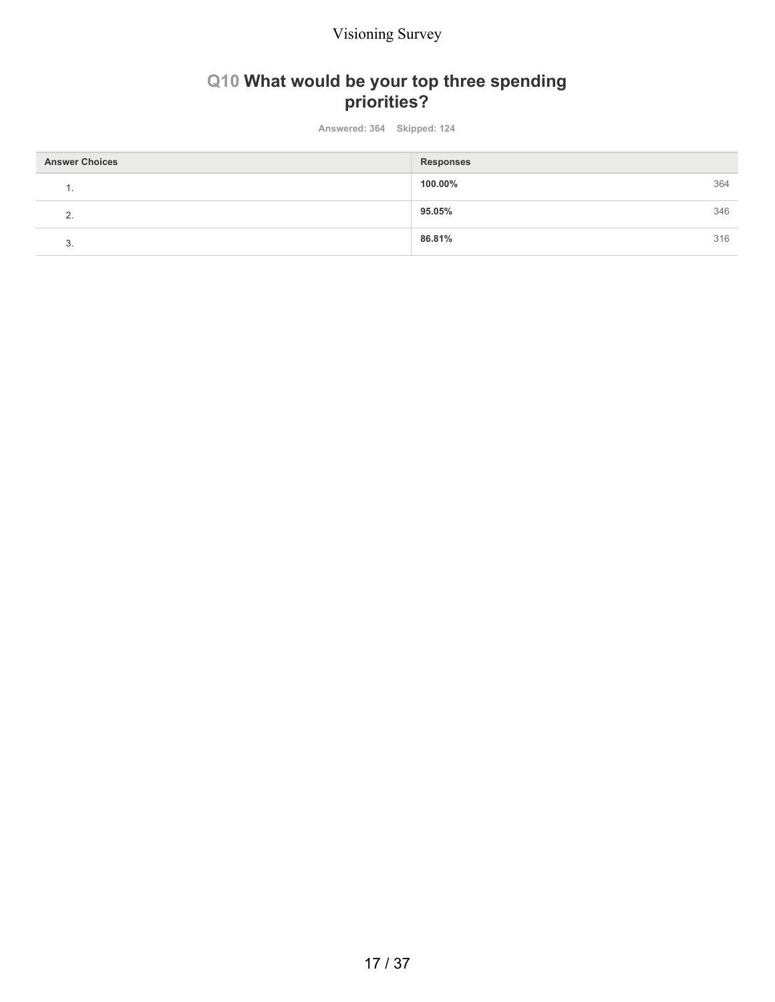# **Q10 What would be your top three spending priorities?**

**Answered: 364 Skipped: 124**

| <b>Answer Choices</b> | <b>Responses</b> |     |
|-----------------------|------------------|-----|
| . .                   | 100.00%          | 364 |
| $\Omega$<br><u>.</u>  | 95.05%           | 346 |
| ◠<br>ು.               | 86.81%           | 316 |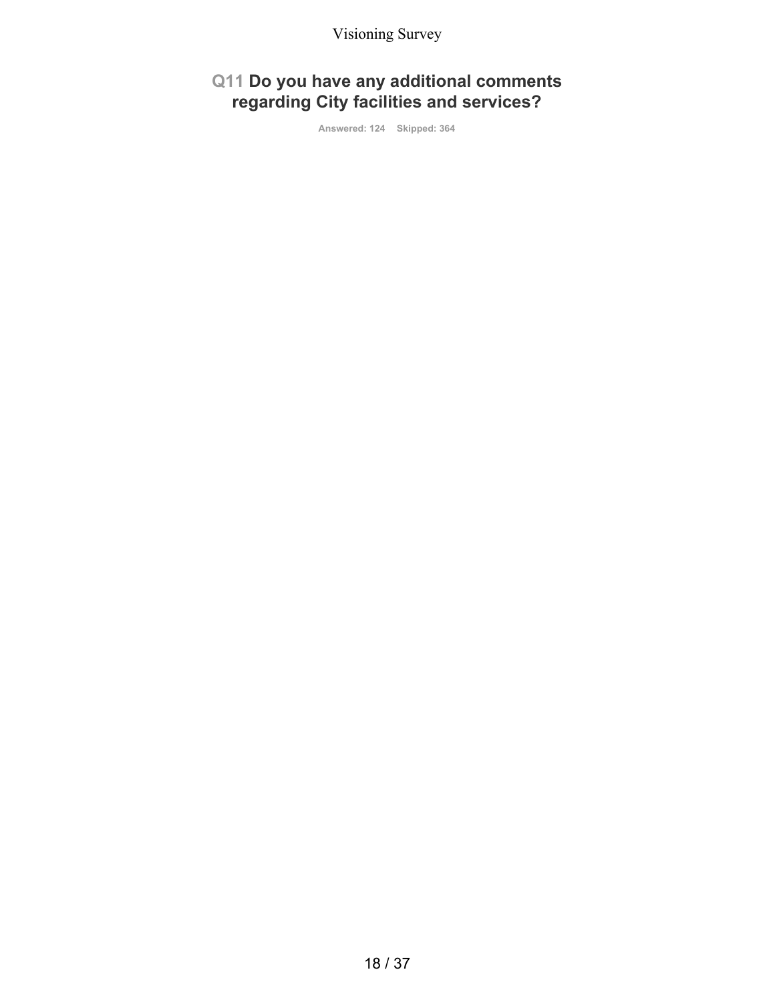# **Q11 Do you have any additional comments regarding City facilities and services?**

**Answered: 124 Skipped: 364**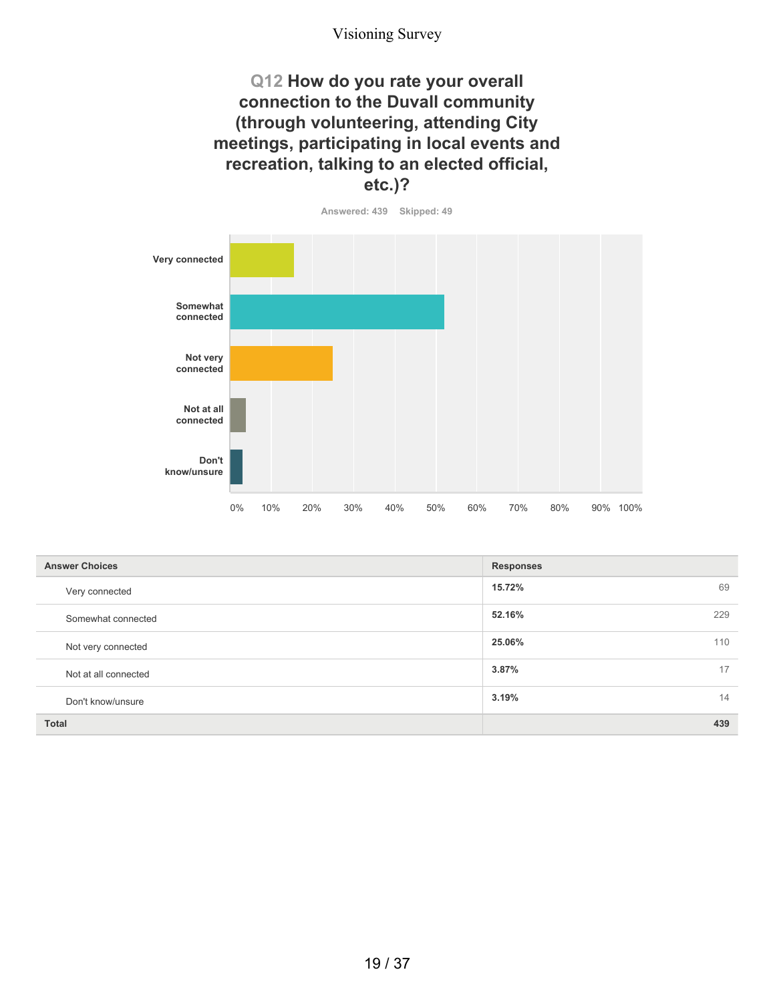### **Q12 How do you rate your overall connection to the Duvall community (through volunteering, attending City meetings, participating in local events and recreation, talking to an elected official, etc.)?**

**Answered: 439 Skipped: 49 Very connected Somewhat connected Not very connected Not at all connected Don't know/unsure** 0% 10% 20% 30% 40% 50% 60% 70% 80% 90% 100%

| <b>Answer Choices</b> | <b>Responses</b> |
|-----------------------|------------------|
| Very connected        | 15.72%<br>69     |
| Somewhat connected    | 52.16%<br>229    |
| Not very connected    | 25.06%<br>110    |
| Not at all connected  | 3.87%<br>17      |
| Don't know/unsure     | 14<br>3.19%      |
| <b>Total</b>          | 439              |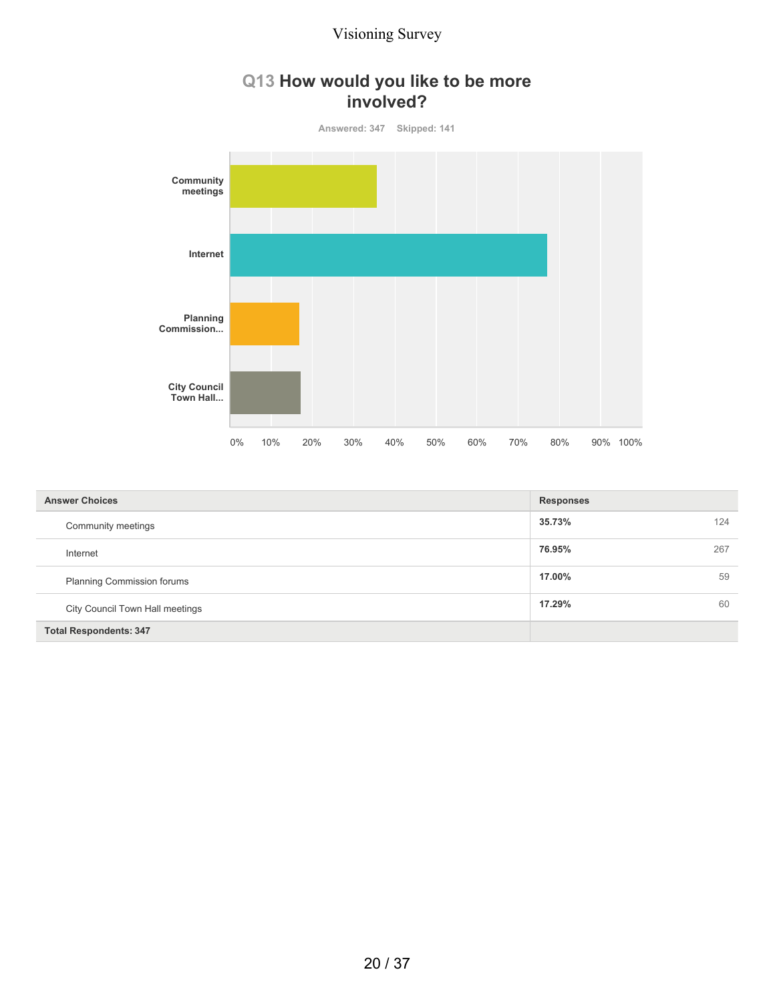

| <b>Answer Choices</b>             | <b>Responses</b> |
|-----------------------------------|------------------|
| Community meetings                | 35.73%<br>124    |
| Internet                          | 76.95%<br>267    |
| <b>Planning Commission forums</b> | 59<br>17.00%     |
| City Council Town Hall meetings   | 60<br>17.29%     |
| <b>Total Respondents: 347</b>     |                  |

## 20 / 37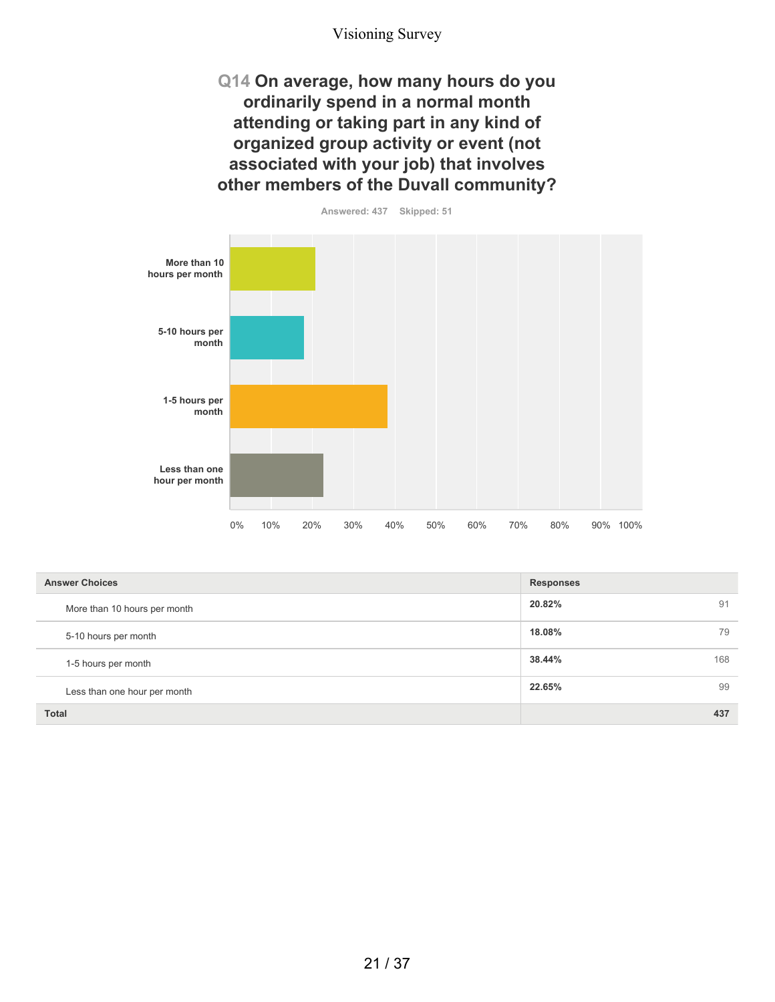**Q14 On average, how many hours do you ordinarily spend in a normal month attending or taking part in any kind of organized group activity or event (not associated with your job) that involves other members of the Duvall community?**

**More than 10 hours per month 5-10 hours per month 1-5 hours per month Less than one hour per month** 0% 10% 20% 30% 40% 50% 60% 70% 80% 90% 100%

| <b>Answer Choices</b>        | <b>Responses</b> |  |
|------------------------------|------------------|--|
| More than 10 hours per month | 20.82%<br>91     |  |
| 5-10 hours per month         | 18.08%<br>79     |  |
| 1-5 hours per month          | 38.44%<br>168    |  |
| Less than one hour per month | 22.65%<br>99     |  |
| <b>Total</b>                 | 437              |  |

**Answered: 437 Skipped: 51**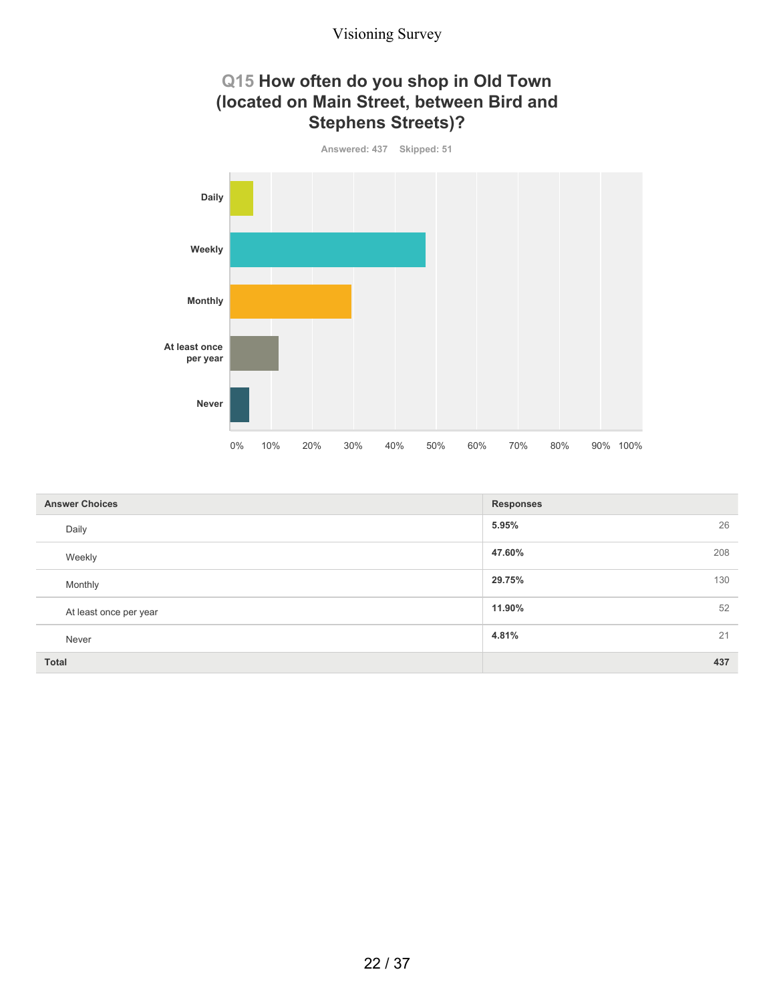## **Q15 How often do you shop in Old Town (located on Main Street, between Bird and Stephens Streets)?**



| <b>Answer Choices</b>  | <b>Responses</b> |
|------------------------|------------------|
| Daily                  | 26<br>5.95%      |
| Weekly                 | 47.60%<br>208    |
| Monthly                | 29.75%<br>130    |
| At least once per year | 52<br>11.90%     |
| Never                  | 21<br>4.81%      |
| <b>Total</b>           | 437              |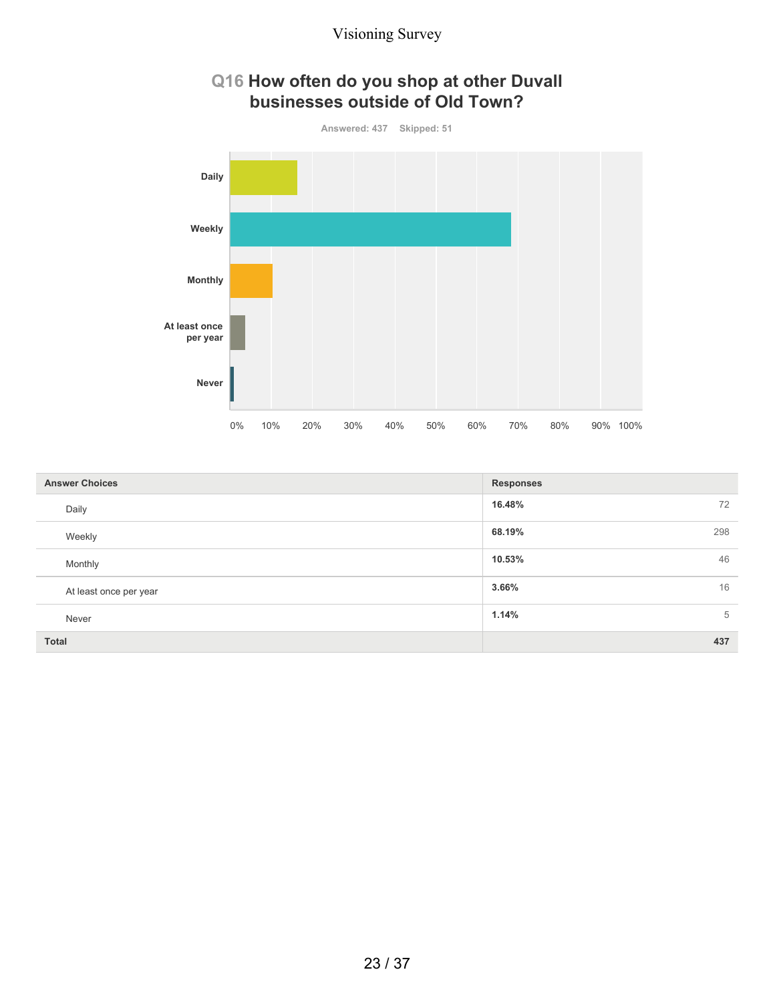



| <b>Answer Choices</b>  | <b>Responses</b> |
|------------------------|------------------|
| Daily                  | 16.48%<br>72     |
| Weekly                 | 68.19%<br>298    |
| Monthly                | 46<br>10.53%     |
| At least once per year | 16<br>3.66%      |
| Never                  | 1.14%<br>5       |
| Total                  | 437              |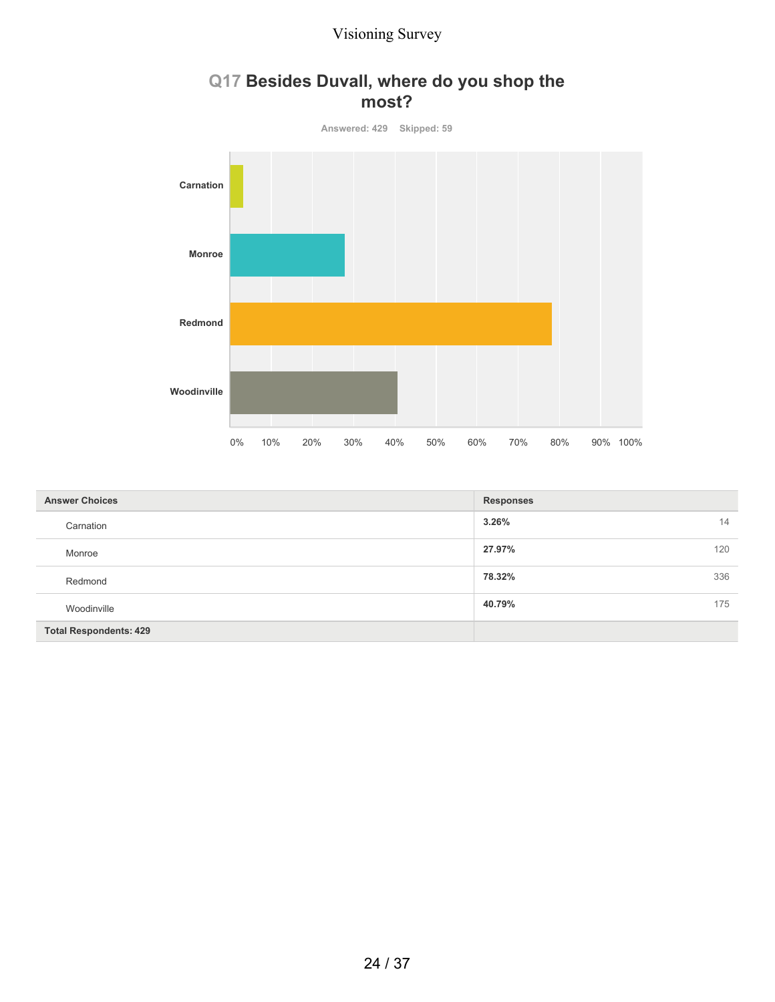

## **Q17 Besides Duvall, where do you shop the most?**

| <b>Answer Choices</b>         | <b>Responses</b> |
|-------------------------------|------------------|
| Carnation                     | 14<br>3.26%      |
| Monroe                        | 27.97%<br>120    |
| Redmond                       | 336<br>78.32%    |
| Woodinville                   | 40.79%<br>175    |
| <b>Total Respondents: 429</b> |                  |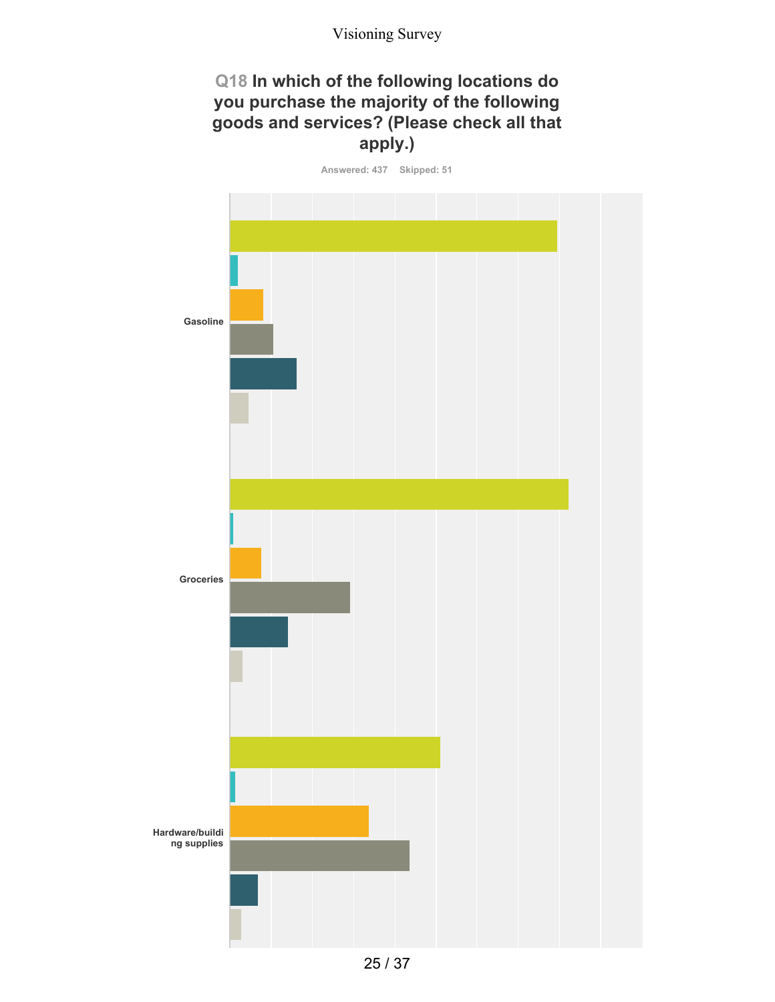## **Q18 In which of the following locations do you purchase the majority of the following goods and services? (Please check all that apply.)**

**Answered: 437 Skipped: 51**

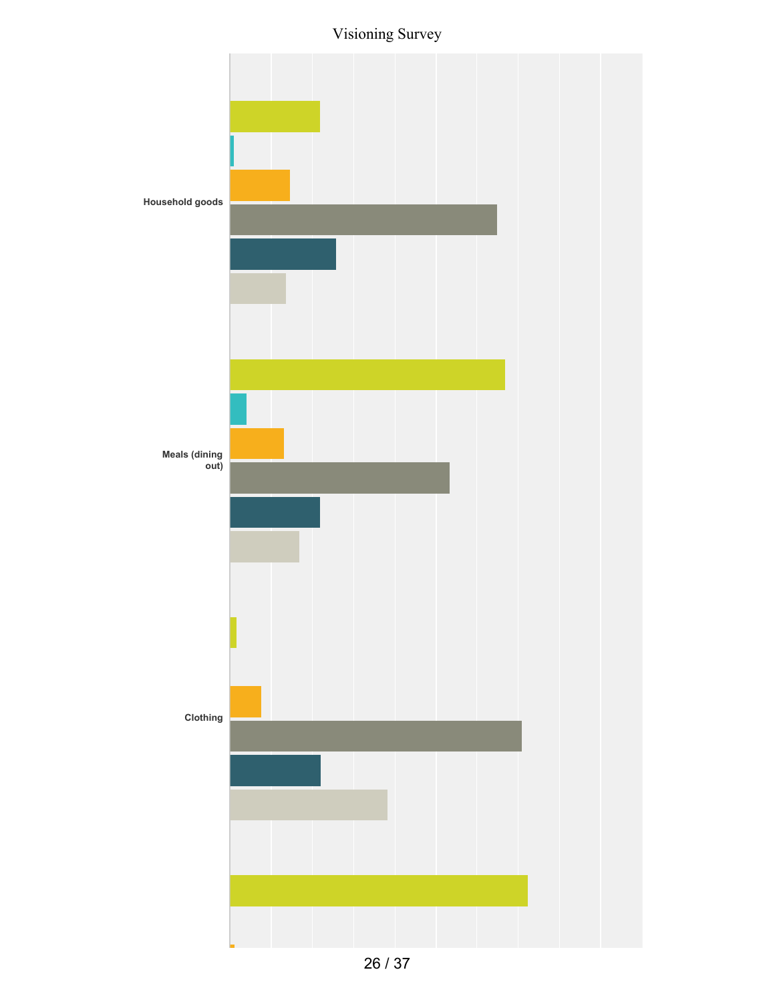Visioning Survey



<sup>26</sup> / 37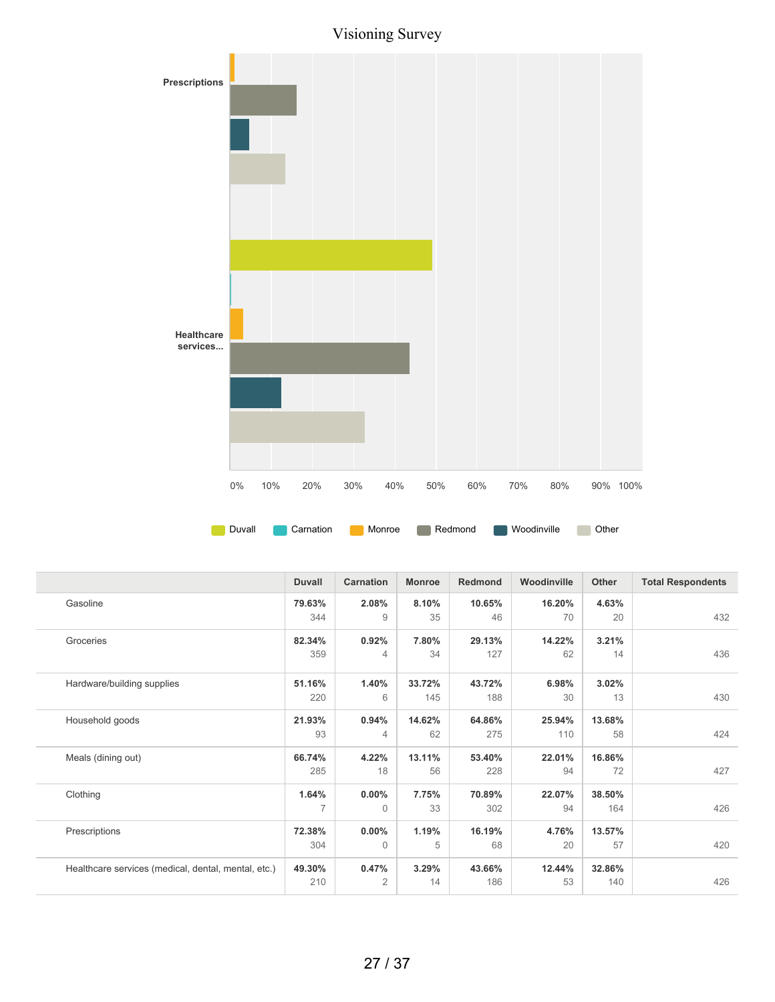Visioning Survey



|                                                     | <b>Duvall</b> | <b>Carnation</b> | <b>Monroe</b> | <b>Redmond</b> | Woodinville | Other  | <b>Total Respondents</b> |
|-----------------------------------------------------|---------------|------------------|---------------|----------------|-------------|--------|--------------------------|
| Gasoline                                            | 79.63%        | 2.08%            | 8.10%         | 10.65%         | 16.20%      | 4.63%  |                          |
|                                                     | 344           | 9                | 35            | 46             | 70          | 20     | 432                      |
| Groceries                                           | 82.34%        | 0.92%            | 7.80%         | 29.13%         | 14.22%      | 3.21%  |                          |
|                                                     | 359           | 4                | 34            | 127            | 62          | 14     | 436                      |
| Hardware/building supplies                          | 51.16%        | 1.40%            | 33.72%        | 43.72%         | 6.98%       | 3.02%  |                          |
|                                                     | 220           | 6                | 145           | 188            | 30          | 13     | 430                      |
| Household goods                                     | 21.93%        | 0.94%            | 14.62%        | 64.86%         | 25.94%      | 13.68% |                          |
|                                                     | 93            | 4                | 62            | 275            | 110         | 58     | 424                      |
| Meals (dining out)                                  | 66.74%        | 4.22%            | 13.11%        | 53.40%         | 22.01%      | 16.86% |                          |
|                                                     | 285           | 18               | 56            | 228            | 94          | 72     | 427                      |
| Clothing                                            | 1.64%         | $0.00\%$         | 7.75%         | 70.89%         | 22.07%      | 38.50% |                          |
|                                                     |               | $\Omega$         | 33            | 302            | 94          | 164    | 426                      |
| Prescriptions                                       | 72.38%        | $0.00\%$         | 1.19%         | 16.19%         | 4.76%       | 13.57% |                          |
|                                                     | 304           | $\Omega$         | 5             | 68             | 20          | 57     | 420                      |
| Healthcare services (medical, dental, mental, etc.) | 49.30%        | 0.47%            | 3.29%         | 43.66%         | 12.44%      | 32.86% |                          |
|                                                     | 210           | 2                | 14            | 186            | 53          | 140    | 426                      |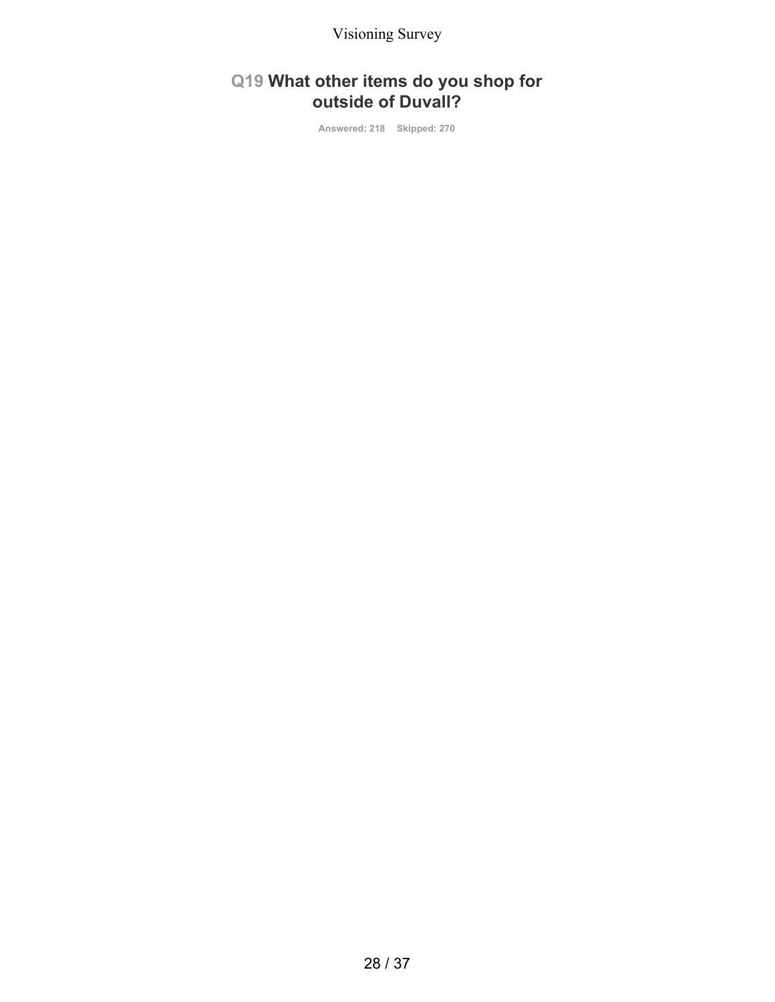## **Q19 What other items do you shop for outside of Duvall?**

**Answered: 218 Skipped: 270**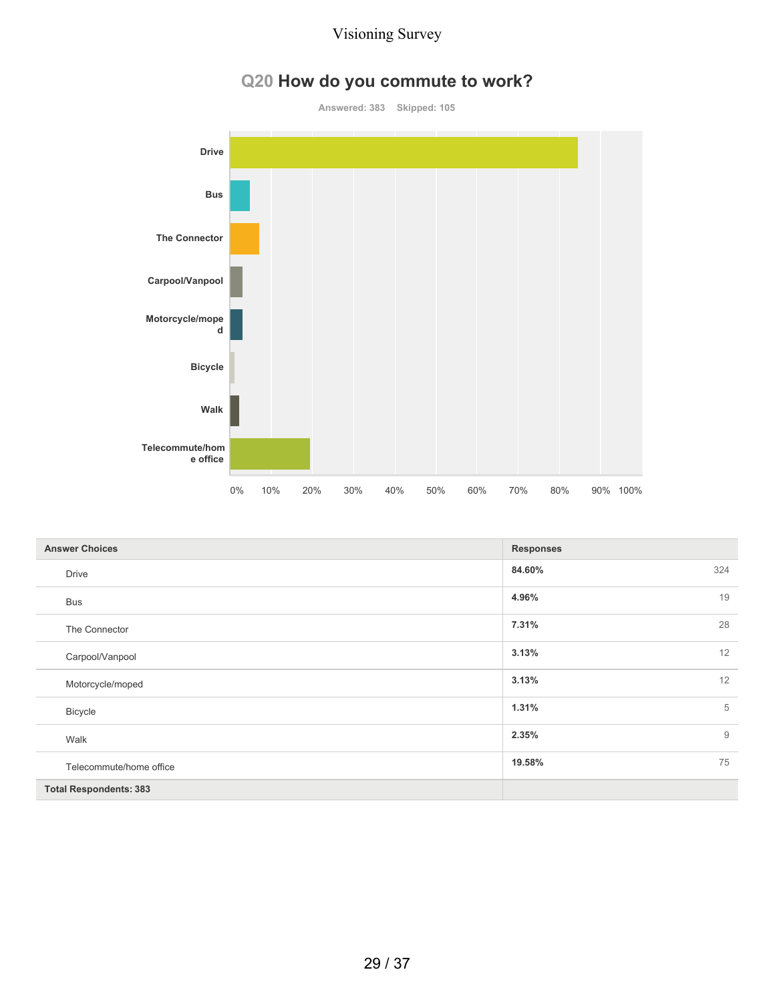# **Q20 How do you commute to work?**

**Answered: 383 Skipped: 105**



| <b>Answer Choices</b>         | <b>Responses</b>     |
|-------------------------------|----------------------|
| <b>Drive</b>                  | 324<br>84.60%        |
| <b>Bus</b>                    | 19<br>4.96%          |
| The Connector                 | 7.31%<br>28          |
| Carpool/Vanpool               | 12<br>3.13%          |
| Motorcycle/moped              | 12<br>3.13%          |
| <b>Bicycle</b>                | 5<br>1.31%           |
| Walk                          | $\mathsf g$<br>2.35% |
| Telecommute/home office       | 75<br>19.58%         |
| <b>Total Respondents: 383</b> |                      |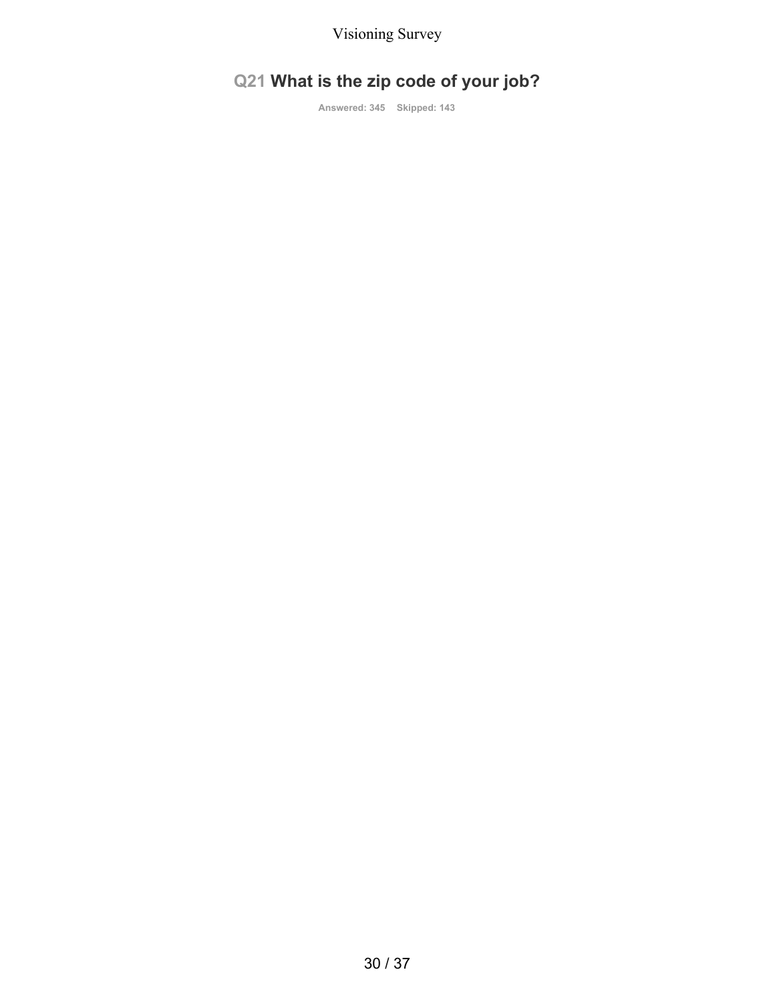# **Q21 What is the zip code of your job?**

**Answered: 345 Skipped: 143**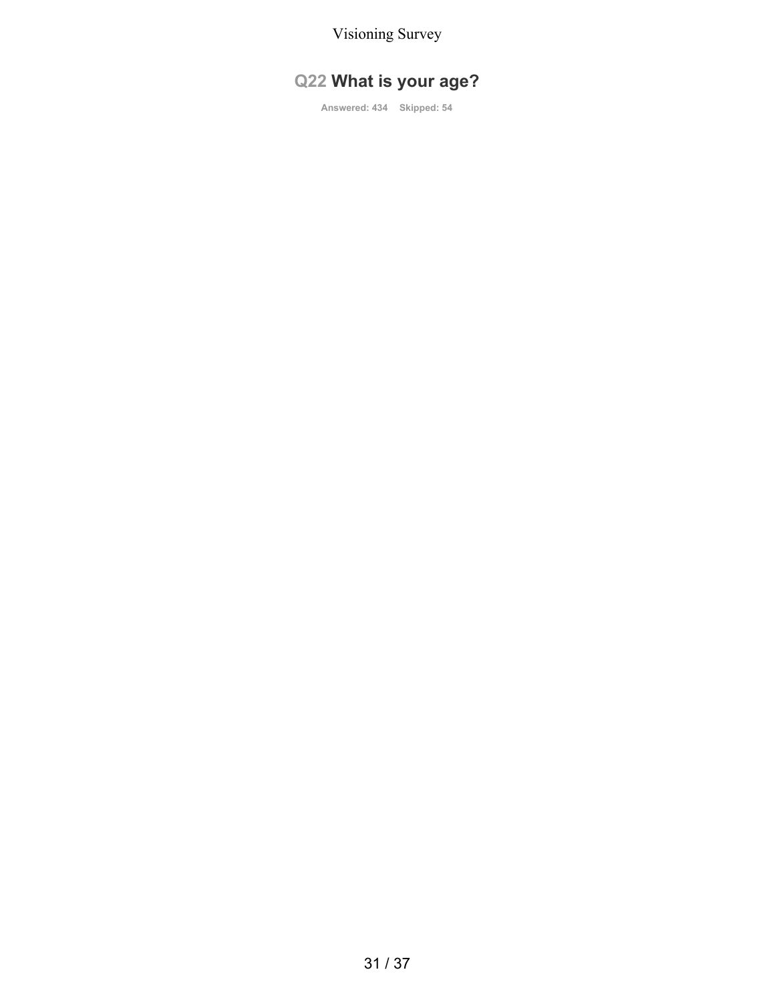# **Q22 What is your age?**

**Answered: 434 Skipped: 54**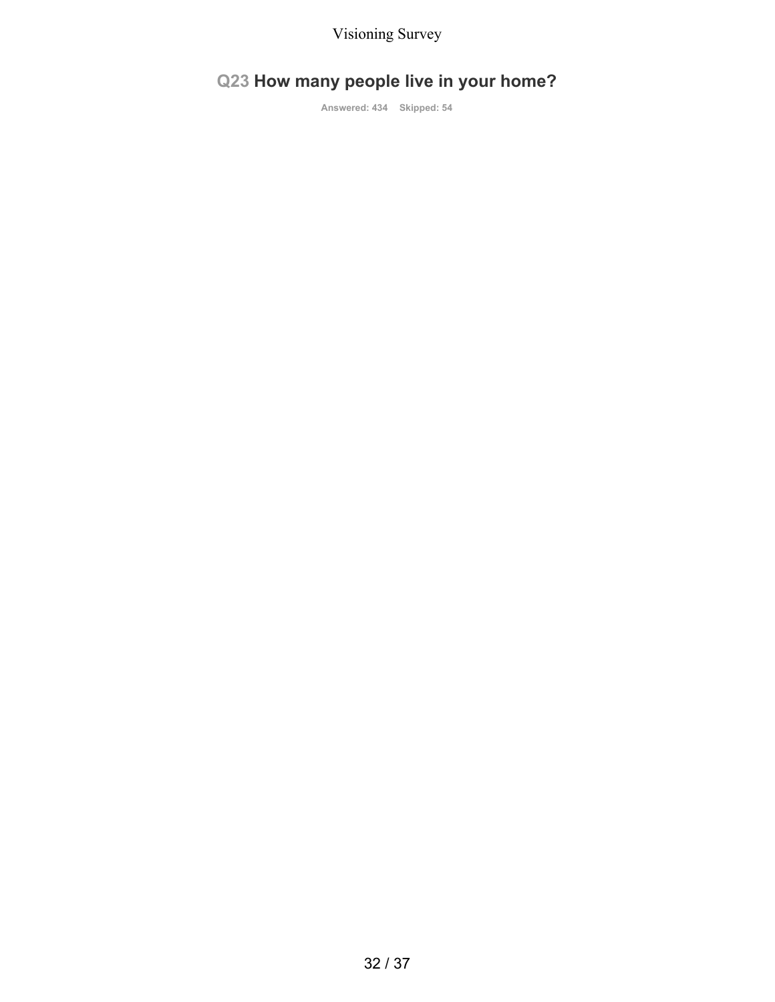# **Q23 How many people live in your home?**

**Answered: 434 Skipped: 54**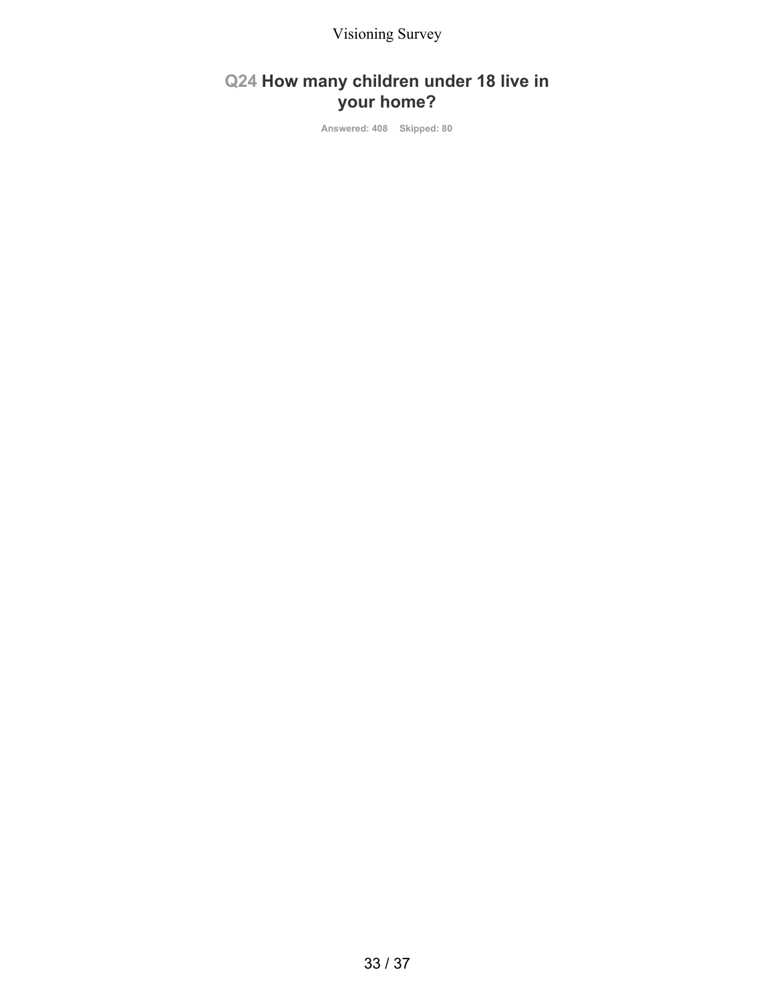## **Q24 How many children under 18 live in your home?**

**Answered: 408 Skipped: 80**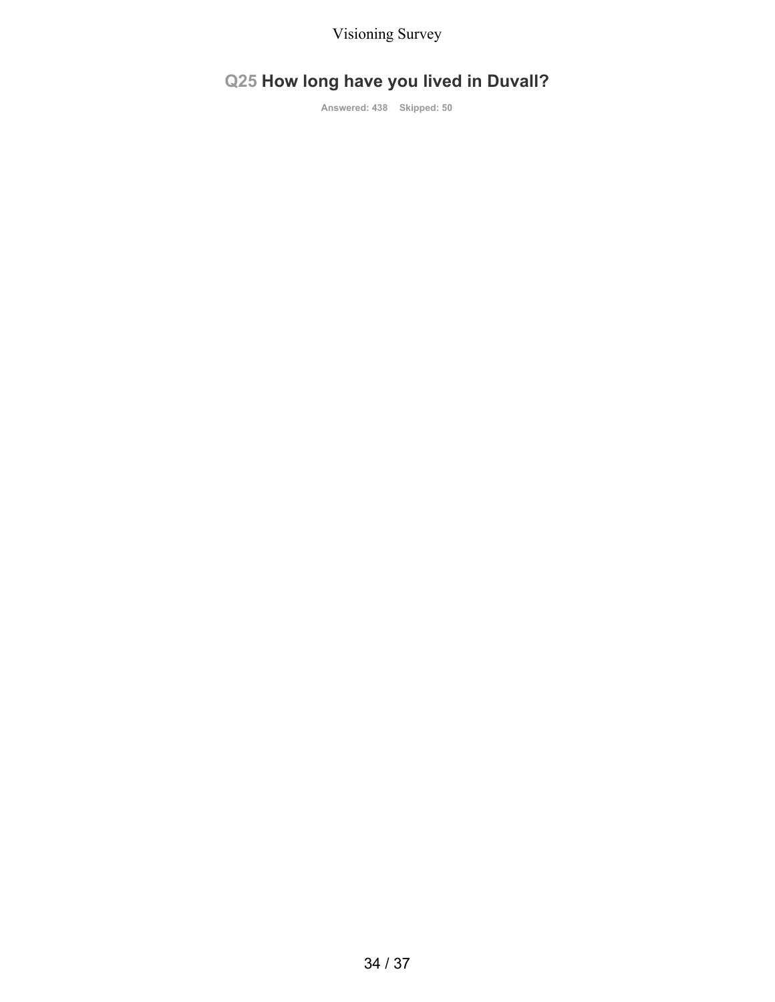# **Q25 How long have you lived in Duvall?**

**Answered: 438 Skipped: 50**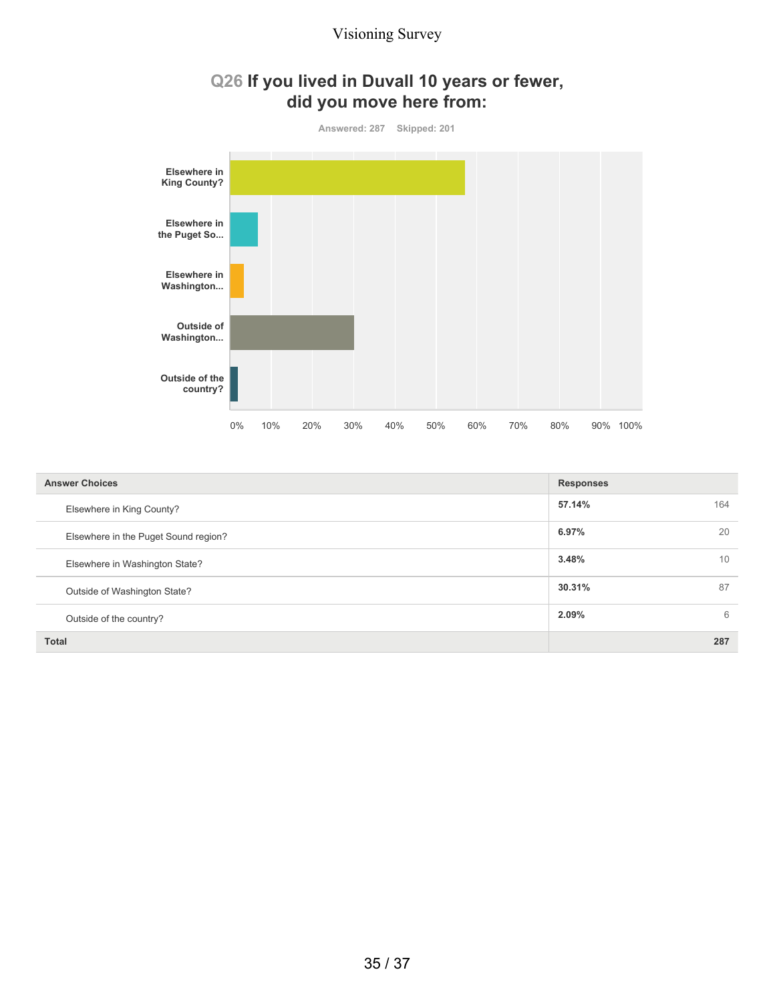## **Q26 If you lived in Duvall 10 years or fewer, did you move here from:**



| <b>Answer Choices</b>                | <b>Responses</b> |
|--------------------------------------|------------------|
| Elsewhere in King County?            | 57.14%<br>164    |
| Elsewhere in the Puget Sound region? | 20<br>6.97%      |
| Elsewhere in Washington State?       | 3.48%<br>10      |
| Outside of Washington State?         | 87<br>30.31%     |
| Outside of the country?              | 2.09%<br>6       |
| <b>Total</b>                         | 287              |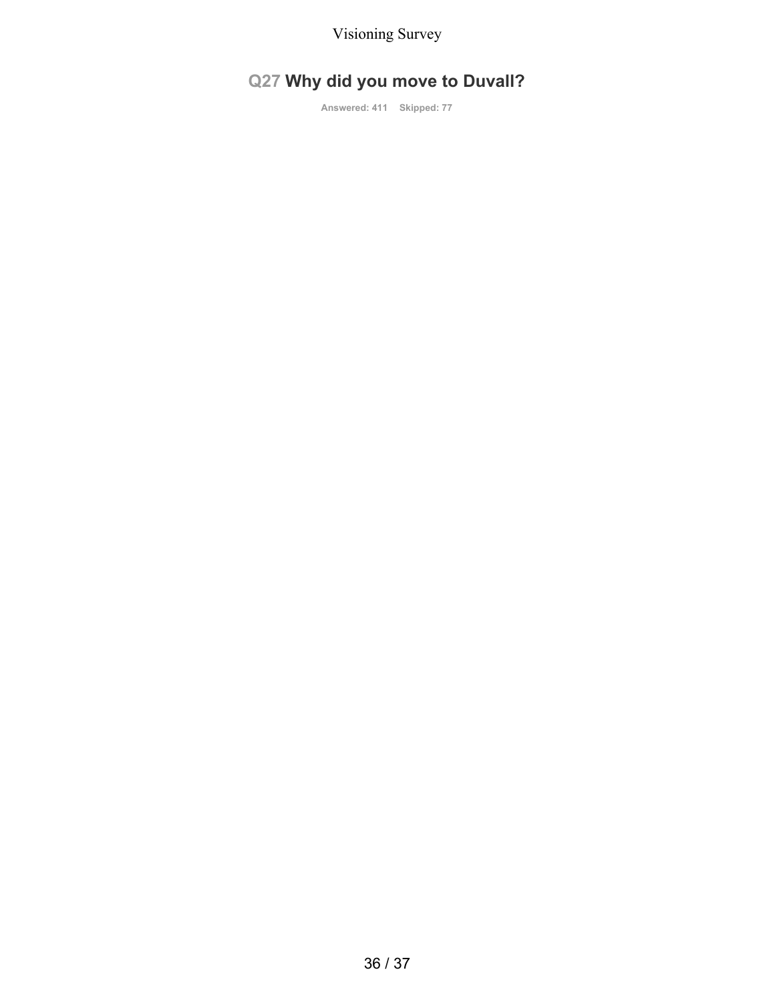# **Q27 Why did you move to Duvall?**

**Answered: 411 Skipped: 77**